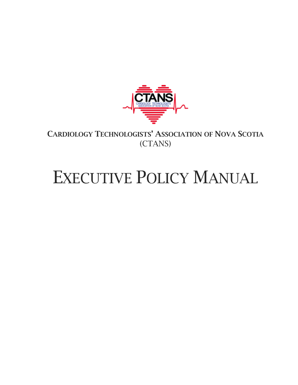

CARDIOLOGY TECHNOLOGISTS' ASSOCIATION OF NOVA SCOTIA (CTANS)

# EXECUTIVE POLICY MANUAL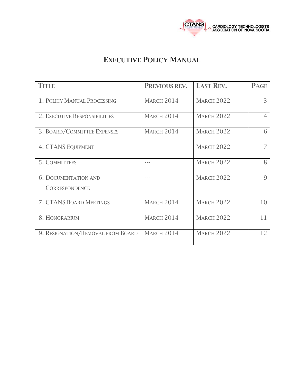

# EXECUTIVE POLICY MANUAL

| <b>TITLE</b>                                         | PREVIOUS REV.     | <b>LAST REV.</b>  | <b>PAGE</b> |
|------------------------------------------------------|-------------------|-------------------|-------------|
| 1. POLICY MANUAL PROCESSING                          | <b>MARCH 2014</b> | <b>MARCH 2022</b> | 3           |
| 2. EXECUTIVE RESPONSIBILITIES                        | <b>MARCH 2014</b> | <b>MARCH 2022</b> |             |
| 3. BOARD/COMMITTEE EXPENSES                          | <b>MARCH 2014</b> | <b>MARCH 2022</b> | 6           |
| <b>4. CTANS EQUIPMENT</b>                            |                   | <b>MARCH 2022</b> |             |
| 5. COMMITTEES                                        |                   | <b>MARCH 2022</b> | 8           |
| <b>6. DOCUMENTATION AND</b><br><b>CORRESPONDENCE</b> |                   | <b>MARCH 2022</b> | 9           |
| 7. CTANS BOARD MEETINGS                              | <b>MARCH 2014</b> | <b>MARCH 2022</b> | 10          |
| 8. HONORARIUM                                        | <b>MARCH 2014</b> | <b>MARCH 2022</b> | 11          |
| 9. RESIGNATION/REMOVAL FROM BOARD                    | <b>MARCH 2014</b> | <b>MARCH 2022</b> | 12          |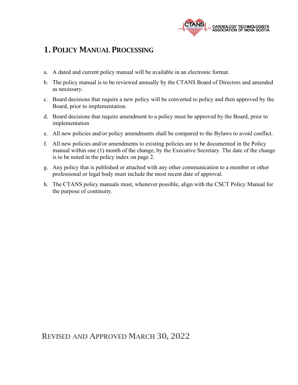

## 1. POLICY MANUAL PROCESSING

- a. A dated and current policy manual will be available in an electronic format.
- b. The policy manual is to be reviewed annually by the CTANS Board of Directors and amended as necessary.
- c. Board decisions that require a new policy will be converted to policy and then approved by the Board, prior to implementation.
- d. Board decisions that require amendment to a policy must be approved by the Board, prior to implementation
- e. All new policies and/or policy amendments shall be compared to the Bylaws to avoid conflict.
- f. All new policies and/or amendments to existing policies are to be documented in the Policy manual within one (1) month of the change, by the Executive Secretary. The date of the change is to be noted in the policy index on page 2.
- g. Any policy that is published or attached with any other communication to a member or other professional or legal body must include the most recent date of approval.
- h. The CTANS policy manuals must, whenever possible, align with the CSCT Policy Manual for the purpose of continuity.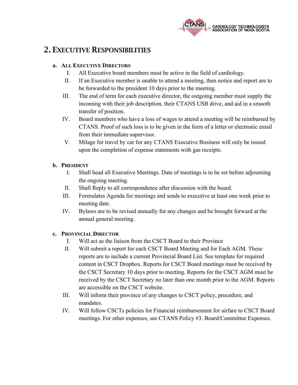

## 2. EXECUTIVE RESPONSIBILITIES

#### **a. ALL EXECUTIVE DIRECTORS**

- I. All Executive board members must be active in the field of cardiology.
- II. If an Executive member is unable to attend a meeting, then notice and report are to be forwarded to the president 10 days prior to the meeting.
- III. The end of term for each executive director, the outgoing member must supply the incoming with their job description, their CTANS USB drive, and aid in a smooth transfer of position.
- IV. Board members who have a loss of wages to attend a meeting will be reimbursed by CTANS. Proof of such loss is to be given in the form of a letter or electronic email from their immediate supervisor.
- V. Milage for travel by car for any CTANS Executive Business will only be issued upon the completion of expense statements with gas receipts.

#### **b. PRESIDENT**

- I. Shall head all Executive Meetings. Date of meetings is to be set before adjourning the ongoing meeting.
- II. Shall Reply to all correspondence after discussion with the board.
- III. Formulates Agenda for meetings and sends to executive at least one week prior to meeting date.
- IV. Bylaws are to be revised annually for any changes and be brought forward at the annual general meeting.

#### **c. PROVINCIAL DIRECTOR**

- I. Will act as the liaison from the CSCT Board to their Province
- II. Will submit a report for each CSCT Board Meeting and for Each AGM. These reports are to include a current Provincial Board List. See template for required content in CSCT Dropbox. Reports for CSCT Board meetings must be received by the CSCT Secretary 10 days prior to meeting. Reports for the CSCT AGM must be received by the CSCT Secretary no later than one month prior to the AGM. Reports are accessible on the CSCT website.
- III. Will inform their province of any changes to CSCT policy, procedure, and mandates.
- IV. Will follow CSCTs policies for Financial reimbursement for airfare to CSCT Board meetings. For other expenses, see CTANS Policy #3. Board/Committee Expenses.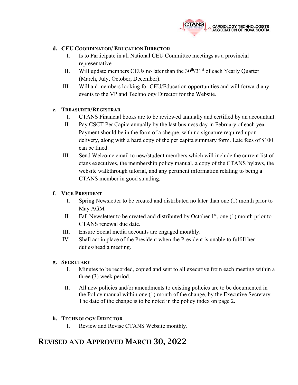

#### **d. CEU COORDINATOR/ EDUCATION DIRECTOR**

- I. Is to Participate in all National CEU Committee meetings as a provincial representative.
- II. Will update members CEUs no later than the  $30<sup>th</sup>/31<sup>st</sup>$  of each Yearly Quarter (March, July, October, December).
- III. Will aid members looking for CEU/Education opportunities and will forward any events to the VP and Technology Director for the Website.

#### **e. TREASURER/REGISTRAR**

- I. CTANS Financial books are to be reviewed annually and certified by an accountant.
- II. Pay CSCT Per Capita annually by the last business day in February of each year. Payment should be in the form of a cheque, with no signature required upon delivery, along with a hard copy of the per capita summary form. Late fees of \$100 can be fined.
- III. Send Welcome email to new/student members which will include the current list of ctans executives, the membership policy manual, a copy of the CTANS bylaws, the website walkthrough tutorial, and any pertinent information relating to being a CTANS member in good standing.

#### **f. VICE PRESIDENT**

- I. Spring Newsletter to be created and distributed no later than one (1) month prior to May AGM
- II. Fall Newsletter to be created and distributed by October  $1<sup>st</sup>$ , one (1) month prior to CTANS renewal due date.
- III. Ensure Social media accounts are engaged monthly.
- IV. Shall act in place of the President when the President is unable to fulfill her duties/head a meeting.

#### **g. SECRETARY**

- I. Minutes to be recorded, copied and sent to all executive from each meeting within a three (3) week period.
- II. All new policies and/or amendments to existing policies are to be documented in the Policy manual within one (1) month of the change, by the Executive Secretary. The date of the change is to be noted in the policy index on page 2.

#### **h. TECHNOLOGY DIRECTOR**

I. Review and Revise CTANS Website monthly.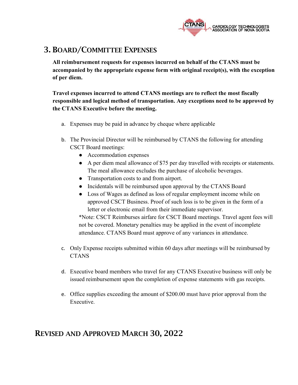

# 3. BOARD/COMMITTEE EXPENSES

**All reimbursement requests for expenses incurred on behalf of the CTANS must be accompanied by the appropriate expense form with original receipt(s), with the exception of per diem.** 

**Travel expenses incurred to attend CTANS meetings are to reflect the most fiscally responsible and logical method of transportation. Any exceptions need to be approved by the CTANS Executive before the meeting.**

- a. Expenses may be paid in advance by cheque where applicable
- b. The Provincial Director will be reimbursed by CTANS the following for attending CSCT Board meetings:
	- Accommodation expenses
	- A per diem meal allowance of \$75 per day travelled with receipts or statements. The meal allowance excludes the purchase of alcoholic beverages.
	- Transportation costs to and from airport.
	- Incidentals will be reimbursed upon approval by the CTANS Board
	- Loss of Wages as defined as loss of regular employment income while on approved CSCT Business. Proof of such loss is to be given in the form of a letter or electronic email from their immediate supervisor.

\*Note: CSCT Reimburses airfare for CSCT Board meetings. Travel agent fees will not be covered. Monetary penalties may be applied in the event of incomplete attendance. CTANS Board must approve of any variances in attendance.

- c. Only Expense receipts submitted within 60 days after meetings will be reimbursed by **CTANS**
- d. Executive board members who travel for any CTANS Executive business will only be issued reimbursement upon the completion of expense statements with gas receipts.
- e. Office supplies exceeding the amount of \$200.00 must have prior approval from the Executive.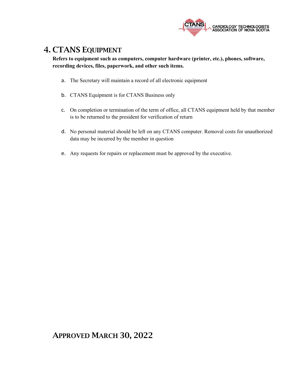

## 4. CTANS EQUIPMENT

**Refers to equipment such as computers, computer hardware (printer, etc.), phones, software, recording devices, files, paperwork, and other such items.**

- a. The Secretary will maintain a record of all electronic equipment
- b. CTANS Equipment is for CTANS Business only
- c. On completion or termination of the term of office, all CTANS equipment held by that member is to be returned to the president for verification of return
- d. No personal material should be left on any CTANS computer. Removal costs for unauthorized data may be incurred by the member in question
- e. Any requests for repairs or replacement must be approved by the executive.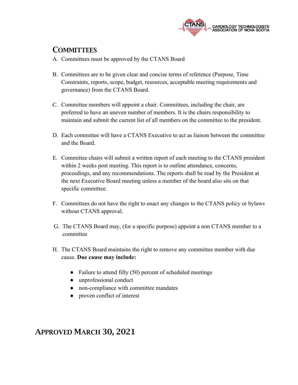

# **COMMITTEES**

- A. Committees must be approved by the CTANS Board
- B. Committees are to be given clear and concise terms of reference (Purpose, Time Constraints, reports, scope, budget, resources, acceptable meeting requirements and governance) from the CTANS Board.
- C. Committee members will appoint a chair. Committees, including the chair, are preferred to have an uneven number of members. It is the chairs responsibility to maintain and submit the current list of all members on the committee to the president.
- D. Each committee will have a CTANS Executive to act as liaison between the committee and the Board.
- E. Committee chairs will submit a written report of each meeting to the CTANS president within 2 weeks post meeting. This report is to outline attendance, concerns, proceedings, and any recommendations. The reports shall be read by the President at the next Executive Board meeting unless a member of the board also sits on that specific committee.
- F. Committees do not have the right to enact any changes to the CTANS policy or bylaws without CTANS approval.
- G. The CTANS Board may, (for a specific purpose) appoint a non CTANS member to a committee
- H. The CTANS Board maintains the right to remove any committee member with due cause. **Due cause may include:** 
	- Failure to attend fifty (50) percent of scheduled meetings
	- unprofessional conduct
	- non-compliance with committee mandates
	- proven conflict of interest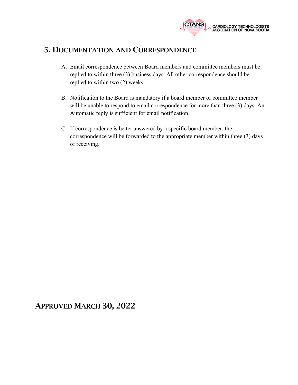

## 5. DOCUMENTATION AND CORRESPONDENCE

- A. Email correspondence between Board members and committee members must be replied to within three (3) business days. All other correspondence should be replied to within two (2) weeks.
- B. Notification to the Board is mandatory if a board member or committee member will be unable to respond to email correspondence for more than three (3) days. An Automatic reply is sufficient for email notification.
- C. If correspondence is better answered by a specific board member, the correspondence will be forwarded to the appropriate member within three (3) days of receiving.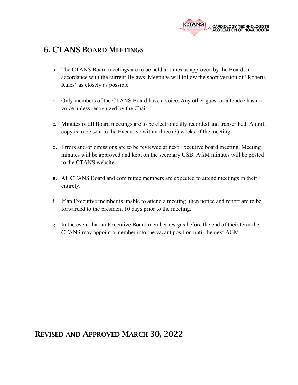

## 6. CTANS BOARD MEETINGS

- a. The CTANS Board meetings are to be held at times as approved by the Board, in accordance with the current Bylaws. Meetings will follow the short version of "Roberts Rules" as closely as possible.
- b. Only members of the CTANS Board have a voice. Any other guest or attendee has no voice unless recognized by the Chair.
- c. Minutes of all Board meetings are to be electronically recorded and transcribed. A draft copy is to be sent to the Executive within three (3) weeks of the meeting.
- d. Errors and/or omissions are to be reviewed at next Executive board meeting. Meeting minutes will be approved and kept on the secretary USB. AGM minutes will be posted to the CTANS website.
- e. All CTANS Board and committee members are expected to attend meetings in their entirety.
- f. If an Executive member is unable to attend a meeting, then notice and report are to be forwarded to the president 10 days prior to the meeting.
- g. In the event that an Executive Board member resigns before the end of their term the CTANS may appoint a member into the vacant position until the next AGM.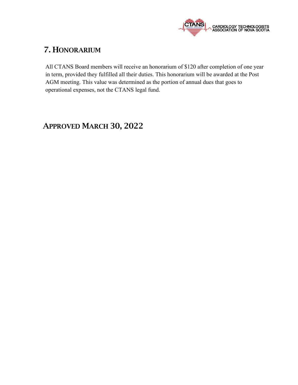

# 7. HONORARIUM

All CTANS Board members will receive an honorarium of \$120 after completion of one year in term, provided they fulfilled all their duties. This honorarium will be awarded at the Post AGM meeting. This value was determined as the portion of annual dues that goes to operational expenses, not the CTANS legal fund.